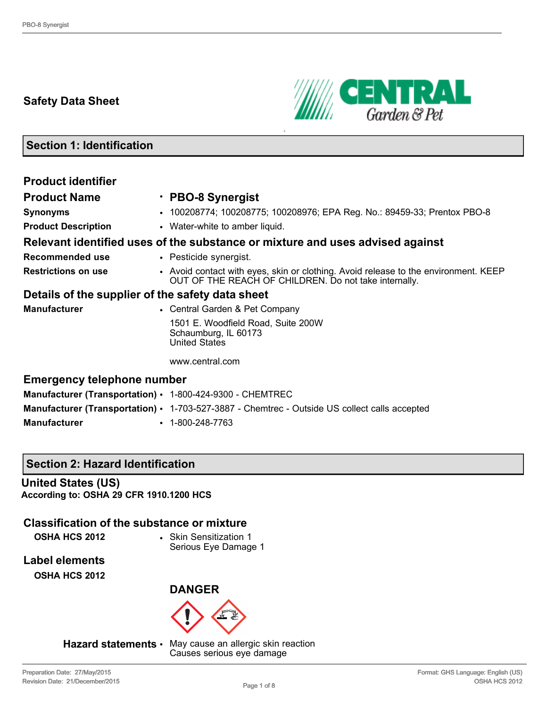# **Safety Data Sheet**



# **Section 1: Identification**

| <b>Product identifier</b>                                 |                                                                                                                                              |
|-----------------------------------------------------------|----------------------------------------------------------------------------------------------------------------------------------------------|
| <b>Product Name</b>                                       | · PBO-8 Synergist                                                                                                                            |
| <b>Synonyms</b>                                           | • 100208774; 100208775; 100208976; EPA Reg. No.: 89459-33; Prentox PBO-8                                                                     |
| <b>Product Description</b>                                | • Water-white to amber liquid.                                                                                                               |
|                                                           | Relevant identified uses of the substance or mixture and uses advised against                                                                |
| <b>Recommended use</b>                                    | • Pesticide synergist.                                                                                                                       |
| <b>Restrictions on use</b>                                | • Avoid contact with eyes, skin or clothing. Avoid release to the environment. KEEP<br>OUT OF THE REACH OF CHILDREN. Do not take internally. |
| Details of the supplier of the safety data sheet          |                                                                                                                                              |
| <b>Manufacturer</b>                                       | • Central Garden & Pet Company                                                                                                               |
|                                                           | 1501 E. Woodfield Road, Suite 200W<br>Schaumburg, IL 60173<br><b>United States</b>                                                           |
|                                                           | www.central.com                                                                                                                              |
| <b>Emergency telephone number</b>                         |                                                                                                                                              |
| Manufacturer (Transportation) • 1-800-424-9300 - CHEMTREC |                                                                                                                                              |

**Manufacturer (Transportation)** • 1-703-527-3887 - Chemtrec - Outside US collect calls accepted

**Manufacturer** • 1-800-248-7763

# **Section 2: Hazard Identification**

# **United States (US)**

**According to: OSHA 29 CFR 1910.1200 HCS**

# **Classification of the substance or mixture**

**OSHA HCS 2012** • Skin Sensitization 1 Serious Eye Damage 1

**Label elements OSHA HCS 2012**





**Hazard statements** • May cause an allergic skin reaction Causes serious eye damage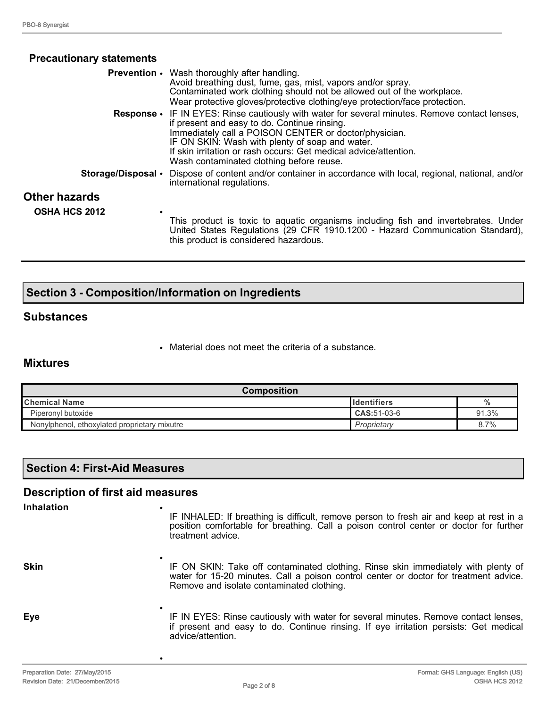| <b>Precautionary statements</b>              |                                                                                                                                                                                                                                                                                                                                                                 |
|----------------------------------------------|-----------------------------------------------------------------------------------------------------------------------------------------------------------------------------------------------------------------------------------------------------------------------------------------------------------------------------------------------------------------|
|                                              | <b>Prevention</b> • Wash thoroughly after handling.<br>Avoid breathing dust, fume, gas, mist, vapors and/or spray.<br>Contaminated work clothing should not be allowed out of the workplace.<br>Wear protective gloves/protective clothing/eye protection/face protection.                                                                                      |
| <b>Response</b> •                            | IF IN EYES: Rinse cautiously with water for several minutes. Remove contact lenses,<br>if present and easy to do. Continue rinsing.<br>Immediately call a POISON CENTER or doctor/physician.<br>IF ON SKIN: Wash with plenty of soap and water.<br>If skin irritation or rash occurs: Get medical advice/attention.<br>Wash contaminated clothing before reuse. |
| Storage/Disposal •                           | Dispose of content and/or container in accordance with local, regional, national, and/or<br>international regulations.                                                                                                                                                                                                                                          |
| <b>Other hazards</b><br><b>OSHA HCS 2012</b> |                                                                                                                                                                                                                                                                                                                                                                 |
|                                              | This product is toxic to aquatic organisms including fish and invertebrates. Under<br>United States Regulations (29 CFR 1910.1200 - Hazard Communication Standard),<br>this product is considered hazardous.                                                                                                                                                    |

# **Section 3 - Composition/Information on Ingredients**

•

•

#### **Substances**

• Material does not meet the criteria of a substance.

#### **Mixtures**

| <b>Composition</b>                           |                     |               |
|----------------------------------------------|---------------------|---------------|
| <b>Chemical Name</b>                         | <b>Ildentifiers</b> | $\frac{0}{0}$ |
| Piperonyl butoxide                           | CAS:51-03-6         | 91.3%         |
| Nonylphenol, ethoxylated proprietary mixutre | Proprietary         | 8.7%          |

# **Section 4: First-Aid Measures**

# **Description of first aid measures**

#### **Inhalation** •

**Skin**

IF INHALED: If breathing is difficult, remove person to fresh air and keep at rest in a position comfortable for breathing. Call a poison control center or doctor for further treatment advice.

IF ON SKIN: Take off contaminated clothing. Rinse skin immediately with plenty of water for 15-20 minutes. Call a poison control center or doctor for treatment advice. Remove and isolate contaminated clothing.

**Eye** • IF IN EYES: Rinse cautiously with water for several minutes. Remove contact lenses, if present and easy to do. Continue rinsing. If eye irritation persists: Get medical advice/attention.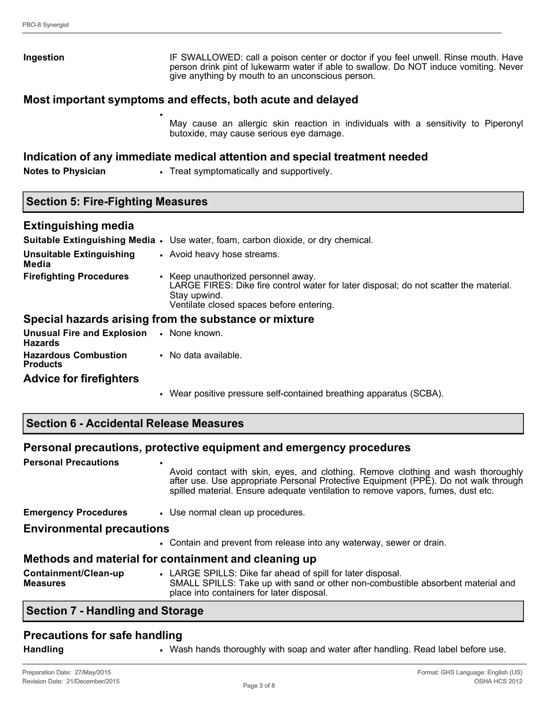| Ingestion                                | IF SWALLOWED: call a poison center or doctor if you feel unwell. Rinse mouth. Have<br>person drink pint of lukewarm water if able to swallow. Do NOT induce vomiting. Never<br>give anything by mouth to an unconscious person. |
|------------------------------------------|---------------------------------------------------------------------------------------------------------------------------------------------------------------------------------------------------------------------------------|
|                                          | Most important symptoms and effects, both acute and delayed                                                                                                                                                                     |
|                                          | May cause an allergic skin reaction in individuals with a sensitivity to Piperonyl<br>butoxide, may cause serious eye damage.                                                                                                   |
|                                          | Indication of any immediate medical attention and special treatment needed                                                                                                                                                      |
| <b>Notes to Physician</b>                | • Treat symptomatically and supportively.                                                                                                                                                                                       |
| <b>Section 5: Fire-Fighting Measures</b> |                                                                                                                                                                                                                                 |
| <b>Extinguishing media</b>               |                                                                                                                                                                                                                                 |
|                                          | <b>Suitable Extinguishing Media •</b> Use water, foam, carbon dioxide, or dry chemical.                                                                                                                                         |
| <b>Unsuitable Extinguishing</b><br>Media | • Avoid heavy hose streams.                                                                                                                                                                                                     |

**Firefighting Procedures** • Keep unauthorized personnel away. LARGE FIRES: Dike fire control water for later disposal; do not scatter the material. Stay upwind. Ventilate closed spaces before entering.

# **Special hazards arising from the substance or mixture**

| <b>Unusual Fire and Explosion • None known.</b><br><b>Hazards</b> |                      |
|-------------------------------------------------------------------|----------------------|
| <b>Hazardous Combustion</b><br><b>Products</b>                    | • No data available. |
| .                                                                 |                      |

# **Advice for firefighters**

- Wear positive pressure self-contained breathing apparatus (SCBA).
- **Section 6 Accidental Release Measures**

# **Personal precautions, protective equipment and emergency procedures**

| <b>Personal Precautions</b>             | $\bullet$<br>Avoid contact with skin, eyes, and clothing. Remove clothing and wash thoroughly<br>after use. Use appropriate Personal Protective Equipment (PPE). Do not walk through<br>spilled material. Ensure adequate ventilation to remove vapors, fumes, dust etc. |
|-----------------------------------------|--------------------------------------------------------------------------------------------------------------------------------------------------------------------------------------------------------------------------------------------------------------------------|
| <b>Emergency Procedures</b>             | • Use normal clean up procedures.                                                                                                                                                                                                                                        |
| <b>Environmental precautions</b>        |                                                                                                                                                                                                                                                                          |
|                                         | • Contain and prevent from release into any waterway, sewer or drain.                                                                                                                                                                                                    |
|                                         | Methods and material for containment and cleaning up                                                                                                                                                                                                                     |
| Containment/Clean-up<br><b>Measures</b> | • LARGE SPILLS: Dike far ahead of spill for later disposal.<br>SMALL SPILLS: Take up with sand or other non-combustible absorbent material and<br>place into containers for later disposal.                                                                              |

# **Section 7 - Handling and Storage**

# **Precautions for safe handling**

**Handling** • Wash hands thoroughly with soap and water after handling. Read label before use.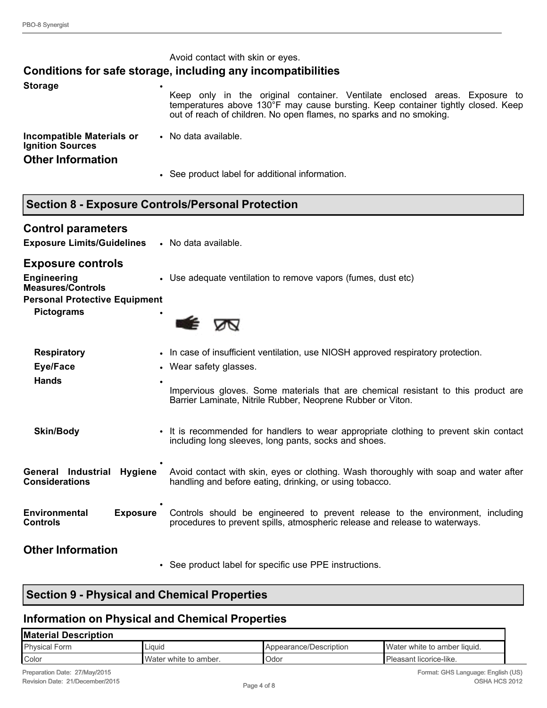|                                                      | Avoid contact with skin or eyes.                                                                                                                                                                                                      |
|------------------------------------------------------|---------------------------------------------------------------------------------------------------------------------------------------------------------------------------------------------------------------------------------------|
|                                                      | Conditions for safe storage, including any incompatibilities                                                                                                                                                                          |
| <b>Storage</b>                                       | Keep only in the original container. Ventilate enclosed areas. Exposure to<br>temperatures above 130°F may cause bursting. Keep container tightly closed. Keep<br>out of reach of children. No open flames, no sparks and no smoking. |
| Incompatible Materials or<br><b>Ignition Sources</b> | • No data available.                                                                                                                                                                                                                  |
| <b>Other Information</b>                             |                                                                                                                                                                                                                                       |
|                                                      | • See product label for additional information.                                                                                                                                                                                       |
|                                                      |                                                                                                                                                                                                                                       |
|                                                      | <b>Section 8 - Exposure Controls/Personal Protection</b>                                                                                                                                                                              |

| <b>Control parameters</b><br><b>Exposure Limits/Guidelines</b>                                                                          | • No data available.                                                                                                                                                                                                                                            |  |
|-----------------------------------------------------------------------------------------------------------------------------------------|-----------------------------------------------------------------------------------------------------------------------------------------------------------------------------------------------------------------------------------------------------------------|--|
| <b>Exposure controls</b><br><b>Engineering</b><br><b>Measures/Controls</b><br><b>Personal Protective Equipment</b><br><b>Pictograms</b> | • Use adequate ventilation to remove vapors (fumes, dust etc)                                                                                                                                                                                                   |  |
| <b>Respiratory</b><br>Eye/Face<br><b>Hands</b><br>$\bullet$                                                                             | • In case of insufficient ventilation, use NIOSH approved respiratory protection.<br>• Wear safety glasses.<br>Impervious gloves. Some materials that are chemical resistant to this product are<br>Barrier Laminate, Nitrile Rubber, Neoprene Rubber or Viton. |  |
| <b>Skin/Body</b>                                                                                                                        | • It is recommended for handlers to wear appropriate clothing to prevent skin contact<br>including long sleeves, long pants, socks and shoes.                                                                                                                   |  |
| General Industrial<br><b>Hygiene</b><br><b>Considerations</b>                                                                           | Avoid contact with skin, eyes or clothing. Wash thoroughly with soap and water after<br>handling and before eating, drinking, or using tobacco.                                                                                                                 |  |
| Environmental<br><b>Exposure</b><br><b>Controls</b>                                                                                     | Controls should be engineered to prevent release to the environment, including<br>procedures to prevent spills, atmospheric release and release to waterways.                                                                                                   |  |
| <b>Other Information</b>                                                                                                                | • See product label for specific use PPE instructions.                                                                                                                                                                                                          |  |

# **Section 9 - Physical and Chemical Properties**

# **Information on Physical and Chemical Properties**

| <b>Material Description</b> |                       |                        |                              |
|-----------------------------|-----------------------|------------------------|------------------------------|
| <b>Physical Form</b>        | Liauid                | Appearance/Description | Water white to amber liquid. |
| Color                       | Water white to amber. | Odor                   | Pleasant licorice-like.      |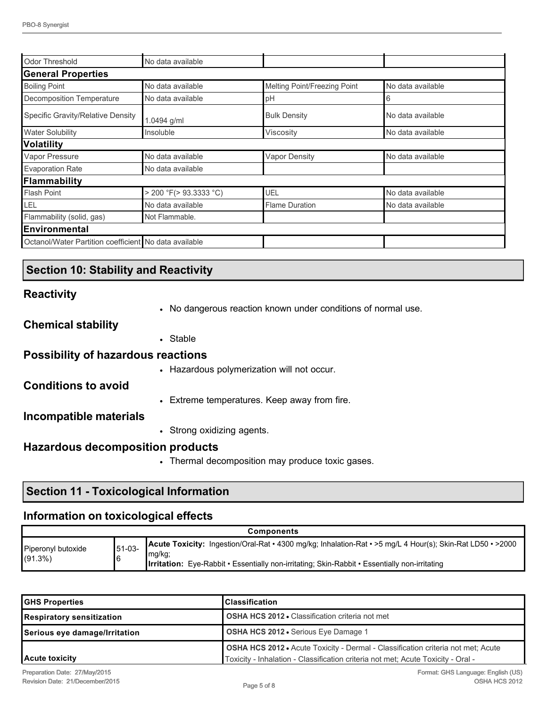| Odor Threshold                                        | No data available           |                              |                   |
|-------------------------------------------------------|-----------------------------|------------------------------|-------------------|
| <b>General Properties</b>                             |                             |                              |                   |
| <b>Boiling Point</b>                                  | No data available           | Melting Point/Freezing Point | No data available |
| Decomposition Temperature                             | No data available           | pH                           | 6                 |
| Specific Gravity/Relative Density                     | 1.0494 g/ml                 | <b>Bulk Density</b>          | No data available |
| <b>Water Solubility</b>                               | Insoluble                   | Viscosity                    | No data available |
| <b>Volatility</b>                                     |                             |                              |                   |
| Vapor Pressure                                        | No data available           | <b>Vapor Density</b>         | No data available |
| <b>Evaporation Rate</b>                               | No data available           |                              |                   |
| Flammability                                          |                             |                              |                   |
| <b>Flash Point</b>                                    | $>$ 200 °F( $>$ 93.3333 °C) | <b>UEL</b>                   | No data available |
| LEL                                                   | No data available           | <b>Flame Duration</b>        | No data available |
| Flammability (solid, gas)                             | Not Flammable.              |                              |                   |
| Environmental                                         |                             |                              |                   |
| Octanol/Water Partition coefficient No data available |                             |                              |                   |

# **Section 10: Stability and Reactivity**

#### **Reactivity**

• No dangerous reaction known under conditions of normal use.

#### **Chemical stability**

• Stable

#### **Possibility of hazardous reactions**

**Conditions to avoid**

• Extreme temperatures. Keep away from fire.

• Hazardous polymerization will not occur.

#### **Incompatible materials**

• Strong oxidizing agents.

# **Hazardous decomposition products**

• Thermal decomposition may produce toxic gases.

# **Section 11 - Toxicological Information**

#### **Information on toxicological effects**

| <b>Components</b>                |             |                                                                                                                                                                                                                              |
|----------------------------------|-------------|------------------------------------------------------------------------------------------------------------------------------------------------------------------------------------------------------------------------------|
| Piperonyl butoxide<br>$(91.3\%)$ | 51-03-<br>6 | Acute Toxicity: Ingestion/Oral-Rat · 4300 mg/kg; Inhalation-Rat · >5 mg/L 4 Hour(s); Skin-Rat LD50 · >2000<br>mg/kg;<br><b>Irritation:</b> Eye-Rabbit • Essentially non-irritating; Skin-Rabbit • Essentially non-irritating |

| <b>GHS Properties</b>                                                        | Classification                                                                                                                                                              |  |
|------------------------------------------------------------------------------|-----------------------------------------------------------------------------------------------------------------------------------------------------------------------------|--|
| Respiratory sensitization                                                    | <b>OSHA HCS 2012 • Classification criteria not met</b>                                                                                                                      |  |
| <b>OSHA HCS 2012 •</b> Serious Eye Damage 1<br>Serious eye damage/Irritation |                                                                                                                                                                             |  |
| Acute toxicity                                                               | <b>OSHA HCS 2012 •</b> Acute Toxicity - Dermal - Classification criteria not met; Acute<br>Toxicity - Inhalation - Classification criteria not met; Acute Toxicity - Oral - |  |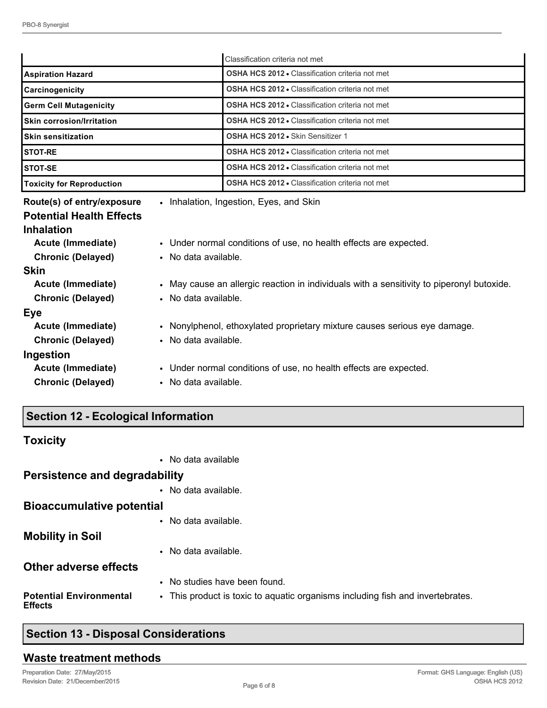|                                                                                                                                                                                                                                                                                                                           |                                                                                                                                                                                                                                                                                                                                                                                                                                                             | Classification criteria not met                        |  |  |
|---------------------------------------------------------------------------------------------------------------------------------------------------------------------------------------------------------------------------------------------------------------------------------------------------------------------------|-------------------------------------------------------------------------------------------------------------------------------------------------------------------------------------------------------------------------------------------------------------------------------------------------------------------------------------------------------------------------------------------------------------------------------------------------------------|--------------------------------------------------------|--|--|
| <b>Aspiration Hazard</b>                                                                                                                                                                                                                                                                                                  |                                                                                                                                                                                                                                                                                                                                                                                                                                                             | <b>OSHA HCS 2012 • Classification criteria not met</b> |  |  |
| Carcinogenicity                                                                                                                                                                                                                                                                                                           |                                                                                                                                                                                                                                                                                                                                                                                                                                                             | <b>OSHA HCS 2012 .</b> Classification criteria not met |  |  |
| <b>Germ Cell Mutagenicity</b>                                                                                                                                                                                                                                                                                             |                                                                                                                                                                                                                                                                                                                                                                                                                                                             | <b>OSHA HCS 2012 • Classification criteria not met</b> |  |  |
| <b>Skin corrosion/Irritation</b>                                                                                                                                                                                                                                                                                          |                                                                                                                                                                                                                                                                                                                                                                                                                                                             | <b>OSHA HCS 2012 • Classification criteria not met</b> |  |  |
| <b>Skin sensitization</b>                                                                                                                                                                                                                                                                                                 |                                                                                                                                                                                                                                                                                                                                                                                                                                                             | OSHA HCS 2012 . Skin Sensitizer 1                      |  |  |
| <b>STOT-RE</b>                                                                                                                                                                                                                                                                                                            |                                                                                                                                                                                                                                                                                                                                                                                                                                                             | <b>OSHA HCS 2012 • Classification criteria not met</b> |  |  |
| <b>STOT-SE</b>                                                                                                                                                                                                                                                                                                            |                                                                                                                                                                                                                                                                                                                                                                                                                                                             | <b>OSHA HCS 2012 • Classification criteria not met</b> |  |  |
| <b>Toxicity for Reproduction</b>                                                                                                                                                                                                                                                                                          |                                                                                                                                                                                                                                                                                                                                                                                                                                                             | <b>OSHA HCS 2012 • Classification criteria not met</b> |  |  |
| Route(s) of entry/exposure<br><b>Potential Health Effects</b><br><b>Inhalation</b><br>Acute (Immediate)<br><b>Chronic (Delayed)</b><br><b>Skin</b><br>Acute (Immediate)<br><b>Chronic (Delayed)</b><br>Eye<br>Acute (Immediate)<br><b>Chronic (Delayed)</b><br>Ingestion<br>Acute (Immediate)<br><b>Chronic (Delayed)</b> | • Inhalation, Ingestion, Eyes, and Skin<br>• Under normal conditions of use, no health effects are expected.<br>• No data available.<br>• May cause an allergic reaction in individuals with a sensitivity to piperonyl butoxide.<br>• No data available.<br>• Nonylphenol, ethoxylated proprietary mixture causes serious eye damage.<br>• No data available.<br>• Under normal conditions of use, no health effects are expected.<br>• No data available. |                                                        |  |  |

# **Section 12 - Ecological Information**

| <b>Toxicity</b>                                  |                                                                                |
|--------------------------------------------------|--------------------------------------------------------------------------------|
|                                                  | • No data available                                                            |
| <b>Persistence and degradability</b>             |                                                                                |
|                                                  | • No data available.                                                           |
| <b>Bioaccumulative potential</b>                 |                                                                                |
|                                                  | • No data available.                                                           |
| <b>Mobility in Soil</b>                          |                                                                                |
|                                                  | • No data available.                                                           |
| <b>Other adverse effects</b>                     |                                                                                |
|                                                  | • No studies have been found.                                                  |
| <b>Potential Environmental</b><br><b>Effects</b> | • This product is toxic to aquatic organisms including fish and invertebrates. |

# **Section 13 - Disposal Considerations**

# **Waste treatment methods**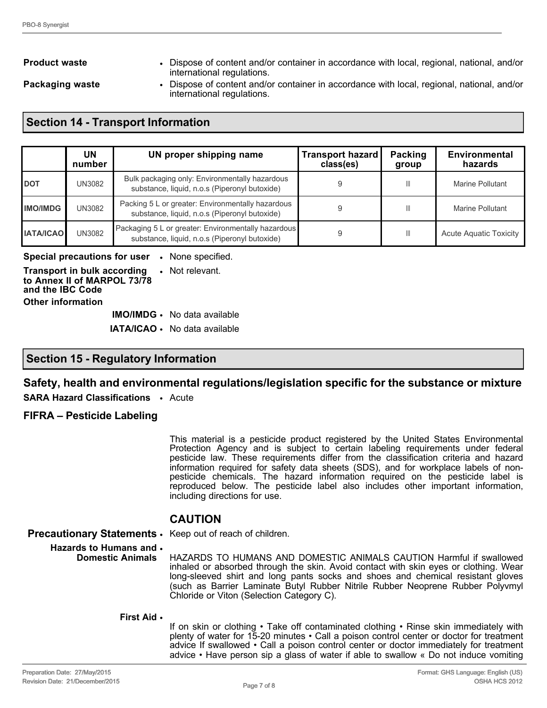**Product waste** • Dispose of content and/or container in accordance with local, regional, national, and/or international regulations.

**Packaging waste** • Dispose of content and/or container in accordance with local, regional, national, and/or international regulations.

# **Section 14 - Transport Information**

|                  | UN<br>number | UN proper shipping name                                                                              | Transport hazard<br>class(es) | Packing<br>group | Environmental<br>hazards      |
|------------------|--------------|------------------------------------------------------------------------------------------------------|-------------------------------|------------------|-------------------------------|
| <b>IDOT</b>      | UN3082       | Bulk packaging only: Environmentally hazardous<br>substance, liquid, n.o.s (Piperonyl butoxide)      |                               | Ш                | Marine Pollutant              |
| <b>IMO/IMDG</b>  | UN3082       | Packing 5 L or greater: Environmentally hazardous<br>substance, liquid, n.o.s (Piperonyl butoxide)   |                               | Ш                | Marine Pollutant              |
| <b>IATA/ICAO</b> | UN3082       | Packaging 5 L or greater: Environmentally hazardous<br>substance, liquid, n.o.s (Piperonyl butoxide) |                               | Ш                | <b>Acute Aquatic Toxicity</b> |

**Special precautions for user** • None specified.

**Transport in bulk according to Annex II of MARPOL 73/78 and the IBC Code** • Not relevant. **Other information**

**IMO/IMDG** • No data available

**IATA/ICAO** • No data available

#### **Section 15 - Regulatory Information**

#### **Safety, health and environmental regulations/legislation specific for the substance or mixture**

**SARA Hazard Classifications** • Acute

#### **FIFRA – Pesticide Labeling**

This material is a pesticide product registered by the United States Environmental Protection Agency and is subject to certain labeling requirements under federal pesticide law. These requirements differ from the classification criteria and hazard information required for safety data sheets (SDS), and for workplace labels of nonpesticide chemicals. The hazard information required on the pesticide label is reproduced below. The pesticide label also includes other important information, including directions for use.

#### **CAUTION**

**Precautionary Statements** • Keep out of reach of children.

#### **Hazards to Humans and**  •

**Domestic Animals** HAZARDS TO HUMANS AND DOMESTIC ANIMALS CAUTION Harmful if swallowed inhaled or absorbed through the skin. Avoid contact with skin eyes or clothing. Wear long-sleeved shirt and long pants socks and shoes and chemical resistant gloves (such as Barrier Laminate Butyl Rubber Nitrile Rubber Neoprene Rubber Polyvmyl Chloride or Viton (Selection Category C).

#### **First Aid** •

If on skin or clothing • Take off contaminated clothing • Rinse skin immediately with plenty of water for 15-20 minutes • Call a poison control center or doctor for treatment advice If swallowed • Call a poison control center or doctor immediately for treatment advice • Have person sip a glass of water if able to swallow « Do not induce vomiting